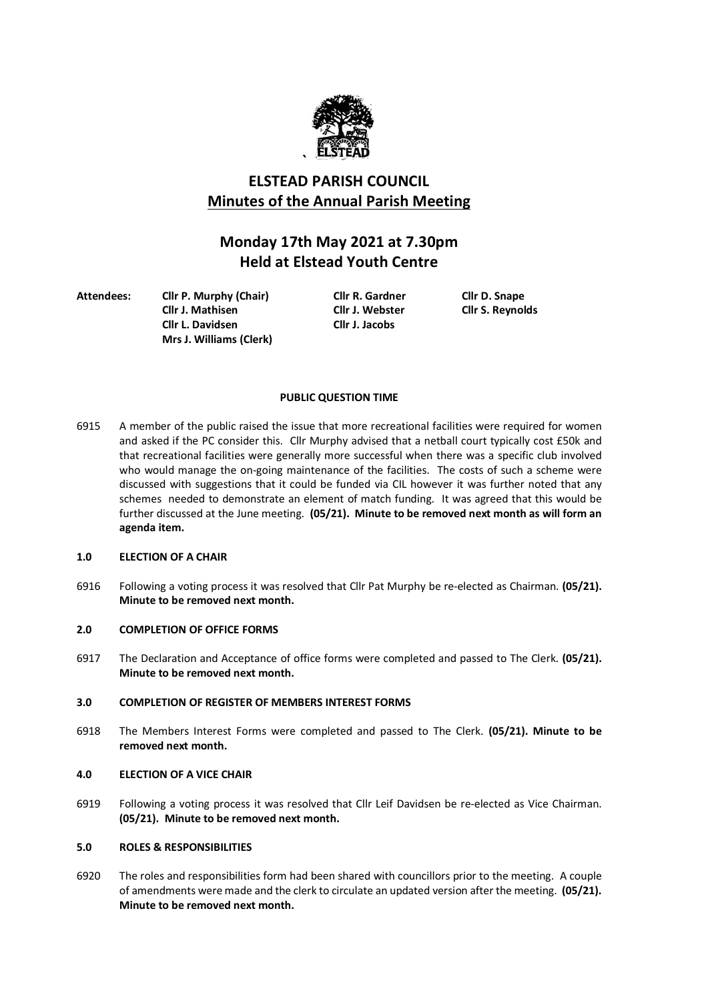

# **ELSTEAD PARISH COUNCIL Minutes of the Annual Parish Meeting**

# **Monday 17th May 2021 at 7.30pm Held at Elstead Youth Centre**

**Attendees: Cllr P. Murphy (Chair) Cllr R. Gardner Cllr D. Snape Cllr J. Mathisen Cllr J. Webster Cllr S. Reynolds Cllr L. Davidsen Cllr J. Jacobs Mrs J. Williams (Clerk)**

## **PUBLIC QUESTION TIME**

6915 A member of the public raised the issue that more recreational facilities were required for women and asked if the PC consider this. Cllr Murphy advised that a netball court typically cost £50k and that recreational facilities were generally more successful when there was a specific club involved who would manage the on-going maintenance of the facilities. The costs of such a scheme were discussed with suggestions that it could be funded via CIL however it was further noted that any schemes needed to demonstrate an element of match funding. It was agreed that this would be further discussed at the June meeting. **(05/21). Minute to be removed next month as will form an agenda item.**

## **1.0 ELECTION OF A CHAIR**

6916 Following a voting process it was resolved that Cllr Pat Murphy be re-elected as Chairman. **(05/21). Minute to be removed next month.**

## **2.0 COMPLETION OF OFFICE FORMS**

6917 The Declaration and Acceptance of office forms were completed and passed to The Clerk. **(05/21). Minute to be removed next month.**

## **3.0 COMPLETION OF REGISTER OF MEMBERS INTEREST FORMS**

6918 The Members Interest Forms were completed and passed to The Clerk. **(05/21). Minute to be removed next month.**

## **4.0 ELECTION OF A VICE CHAIR**

6919 Following a voting process it was resolved that Cllr Leif Davidsen be re-elected as Vice Chairman. **(05/21). Minute to be removed next month.**

## **5.0 ROLES & RESPONSIBILITIES**

6920 The roles and responsibilities form had been shared with councillors prior to the meeting. A couple of amendments were made and the clerk to circulate an updated version after the meeting. **(05/21). Minute to be removed next month.**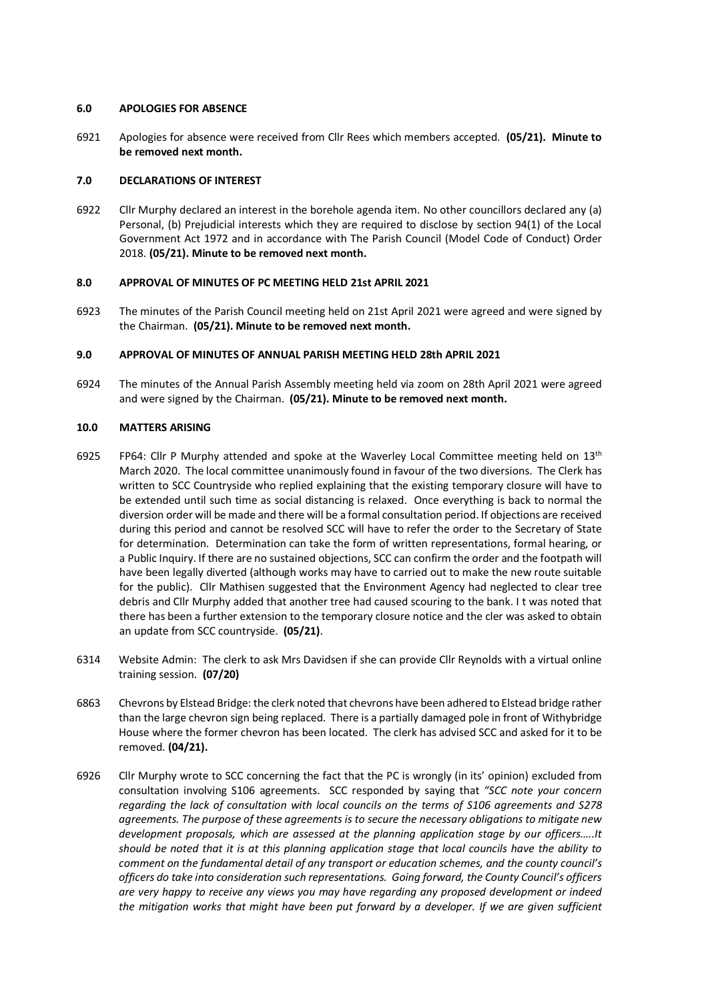#### **6.0 APOLOGIES FOR ABSENCE**

6921 Apologies for absence were received from Cllr Rees which members accepted. **(05/21). Minute to be removed next month.**

## **7.0 DECLARATIONS OF INTEREST**

6922 Cllr Murphy declared an interest in the borehole agenda item. No other councillors declared any (a) Personal, (b) Prejudicial interests which they are required to disclose by section 94(1) of the Local Government Act 1972 and in accordance with The Parish Council (Model Code of Conduct) Order 2018. **(05/21). Minute to be removed next month.**

## **8.0 APPROVAL OF MINUTES OF PC MEETING HELD 21st APRIL 2021**

6923 The minutes of the Parish Council meeting held on 21st April 2021 were agreed and were signed by the Chairman. **(05/21). Minute to be removed next month.**

## **9.0 APPROVAL OF MINUTES OF ANNUAL PARISH MEETING HELD 28th APRIL 2021**

6924 The minutes of the Annual Parish Assembly meeting held via zoom on 28th April 2021 were agreed and were signed by the Chairman. **(05/21). Minute to be removed next month.**

## **10.0 MATTERS ARISING**

- 6925 FP64: Cllr P Murphy attended and spoke at the Waverley Local Committee meeting held on  $13<sup>th</sup>$ March 2020. The local committee unanimously found in favour of the two diversions. The Clerk has written to SCC Countryside who replied explaining that the existing temporary closure will have to be extended until such time as social distancing is relaxed. Once everything is back to normal the diversion order will be made and there will be a formal consultation period. If objections are received during this period and cannot be resolved SCC will have to refer the order to the Secretary of State for determination. Determination can take the form of written representations, formal hearing, or a Public Inquiry. If there are no sustained objections, SCC can confirm the order and the footpath will have been legally diverted (although works may have to carried out to make the new route suitable for the public). Cllr Mathisen suggested that the Environment Agency had neglected to clear tree debris and Cllr Murphy added that another tree had caused scouring to the bank. I t was noted that there has been a further extension to the temporary closure notice and the cler was asked to obtain an update from SCC countryside. **(05/21)**.
- 6314 Website Admin: The clerk to ask Mrs Davidsen if she can provide Cllr Reynolds with a virtual online training session. **(07/20)**
- 6863 Chevrons by Elstead Bridge: the clerk noted that chevrons have been adhered to Elstead bridge rather than the large chevron sign being replaced. There is a partially damaged pole in front of Withybridge House where the former chevron has been located. The clerk has advised SCC and asked for it to be removed. **(04/21).**
- 6926 Cllr Murphy wrote to SCC concerning the fact that the PC is wrongly (in its' opinion) excluded from consultation involving S106 agreements. SCC responded by saying that *"SCC note your concern regarding the lack of consultation with local councils on the terms of S106 agreements and S278 agreements. The purpose of these agreements is to secure the necessary obligations to mitigate new development proposals, which are assessed at the planning application stage by our officers…..It should be noted that it is at this planning application stage that local councils have the ability to comment on the fundamental detail of any transport or education schemes, and the county council's officers do take into consideration such representations. Going forward, the County Council's officers are very happy to receive any views you may have regarding any proposed development or indeed the mitigation works that might have been put forward by a developer. If we are given sufficient*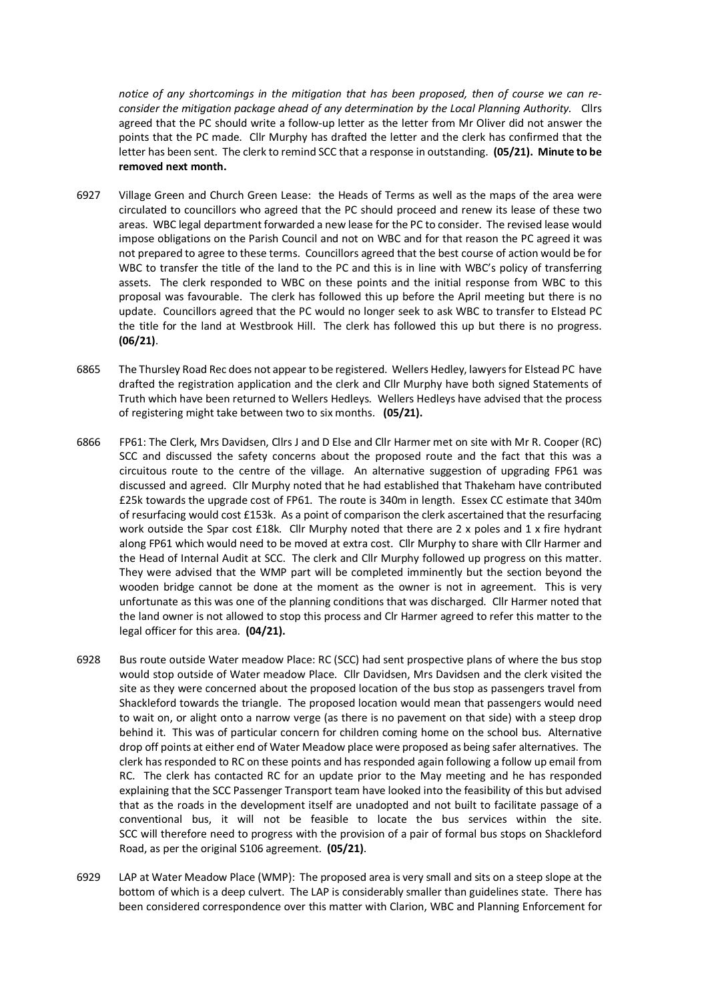*notice of any shortcomings in the mitigation that has been proposed, then of course we can reconsider the mitigation package ahead of any determination by the Local Planning Authority.* Cllrs agreed that the PC should write a follow-up letter as the letter from Mr Oliver did not answer the points that the PC made. Cllr Murphy has drafted the letter and the clerk has confirmed that the letter has been sent. The clerk to remind SCC that a response in outstanding. **(05/21). Minute to be removed next month.**

- 6927 Village Green and Church Green Lease: the Heads of Terms as well as the maps of the area were circulated to councillors who agreed that the PC should proceed and renew its lease of these two areas. WBC legal department forwarded a new lease for the PC to consider. The revised lease would impose obligations on the Parish Council and not on WBC and for that reason the PC agreed it was not prepared to agree to these terms. Councillors agreed that the best course of action would be for WBC to transfer the title of the land to the PC and this is in line with WBC's policy of transferring assets. The clerk responded to WBC on these points and the initial response from WBC to this proposal was favourable. The clerk has followed this up before the April meeting but there is no update. Councillors agreed that the PC would no longer seek to ask WBC to transfer to Elstead PC the title for the land at Westbrook Hill. The clerk has followed this up but there is no progress. **(06/21)**.
- 6865 The Thursley Road Rec does not appear to be registered. Wellers Hedley, lawyers for Elstead PC have drafted the registration application and the clerk and Cllr Murphy have both signed Statements of Truth which have been returned to Wellers Hedleys. Wellers Hedleys have advised that the process of registering might take between two to six months. **(05/21).**
- 6866 FP61: The Clerk, Mrs Davidsen, Cllrs J and D Else and Cllr Harmer met on site with Mr R. Cooper (RC) SCC and discussed the safety concerns about the proposed route and the fact that this was a circuitous route to the centre of the village. An alternative suggestion of upgrading FP61 was discussed and agreed. Cllr Murphy noted that he had established that Thakeham have contributed £25k towards the upgrade cost of FP61. The route is 340m in length. Essex CC estimate that 340m of resurfacing would cost £153k. As a point of comparison the clerk ascertained that the resurfacing work outside the Spar cost £18k. Cllr Murphy noted that there are 2 x poles and 1 x fire hydrant along FP61 which would need to be moved at extra cost. Cllr Murphy to share with Cllr Harmer and the Head of Internal Audit at SCC. The clerk and Cllr Murphy followed up progress on this matter. They were advised that the WMP part will be completed imminently but the section beyond the wooden bridge cannot be done at the moment as the owner is not in agreement. This is very unfortunate as this was one of the planning conditions that was discharged. Cllr Harmer noted that the land owner is not allowed to stop this process and Clr Harmer agreed to refer this matter to the legal officer for this area. **(04/21).**
- 6928 Bus route outside Water meadow Place: RC (SCC) had sent prospective plans of where the bus stop would stop outside of Water meadow Place. Cllr Davidsen, Mrs Davidsen and the clerk visited the site as they were concerned about the proposed location of the bus stop as passengers travel from Shackleford towards the triangle. The proposed location would mean that passengers would need to wait on, or alight onto a narrow verge (as there is no pavement on that side) with a steep drop behind it. This was of particular concern for children coming home on the school bus. Alternative drop off points at either end of Water Meadow place were proposed as being safer alternatives. The clerk has responded to RC on these points and has responded again following a follow up email from RC. The clerk has contacted RC for an update prior to the May meeting and he has responded explaining that the SCC Passenger Transport team have looked into the feasibility of this but advised that as the roads in the development itself are unadopted and not built to facilitate passage of a conventional bus, it will not be feasible to locate the bus services within the site. SCC will therefore need to progress with the provision of a pair of formal bus stops on Shackleford Road, as per the original S106 agreement. **(05/21)**.
- 6929 LAP at Water Meadow Place (WMP): The proposed area is very small and sits on a steep slope at the bottom of which is a deep culvert. The LAP is considerably smaller than guidelines state. There has been considered correspondence over this matter with Clarion, WBC and Planning Enforcement for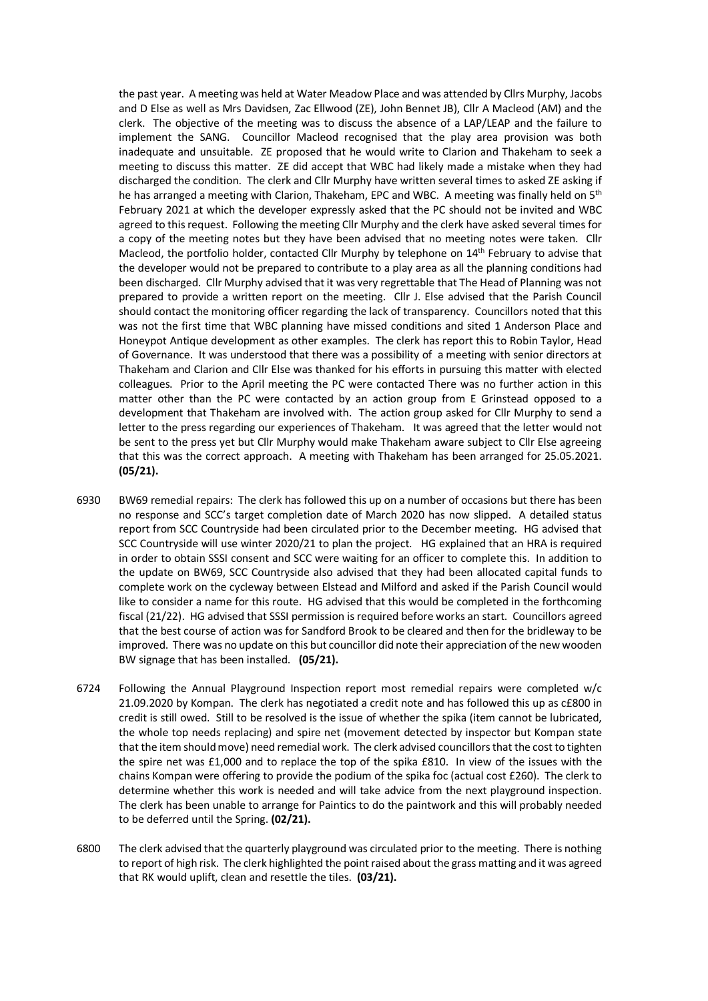the past year. A meeting was held at Water Meadow Place and was attended by Cllrs Murphy, Jacobs and D Else as well as Mrs Davidsen, Zac Ellwood (ZE), John Bennet JB), Cllr A Macleod (AM) and the clerk. The objective of the meeting was to discuss the absence of a LAP/LEAP and the failure to implement the SANG. Councillor Macleod recognised that the play area provision was both inadequate and unsuitable. ZE proposed that he would write to Clarion and Thakeham to seek a meeting to discuss this matter. ZE did accept that WBC had likely made a mistake when they had discharged the condition. The clerk and Cllr Murphy have written several times to asked ZE asking if he has arranged a meeting with Clarion, Thakeham, EPC and WBC. A meeting was finally held on 5<sup>th</sup> February 2021 at which the developer expressly asked that the PC should not be invited and WBC agreed to this request. Following the meeting Cllr Murphy and the clerk have asked several times for a copy of the meeting notes but they have been advised that no meeting notes were taken. Cllr Macleod, the portfolio holder, contacted Cllr Murphy by telephone on 14th February to advise that the developer would not be prepared to contribute to a play area as all the planning conditions had been discharged. Cllr Murphy advised that it was very regrettable that The Head of Planning was not prepared to provide a written report on the meeting. Cllr J. Else advised that the Parish Council should contact the monitoring officer regarding the lack of transparency. Councillors noted that this was not the first time that WBC planning have missed conditions and sited 1 Anderson Place and Honeypot Antique development as other examples. The clerk has report this to Robin Taylor, Head of Governance. It was understood that there was a possibility of a meeting with senior directors at Thakeham and Clarion and Cllr Else was thanked for his efforts in pursuing this matter with elected colleagues. Prior to the April meeting the PC were contacted There was no further action in this matter other than the PC were contacted by an action group from E Grinstead opposed to a development that Thakeham are involved with. The action group asked for Cllr Murphy to send a letter to the press regarding our experiences of Thakeham. It was agreed that the letter would not be sent to the press yet but Cllr Murphy would make Thakeham aware subject to Cllr Else agreeing that this was the correct approach. A meeting with Thakeham has been arranged for 25.05.2021. **(05/21).** 

- 6930 BW69 remedial repairs: The clerk has followed this up on a number of occasions but there has been no response and SCC's target completion date of March 2020 has now slipped. A detailed status report from SCC Countryside had been circulated prior to the December meeting. HG advised that SCC Countryside will use winter 2020/21 to plan the project. HG explained that an HRA is required in order to obtain SSSI consent and SCC were waiting for an officer to complete this. In addition to the update on BW69, SCC Countryside also advised that they had been allocated capital funds to complete work on the cycleway between Elstead and Milford and asked if the Parish Council would like to consider a name for this route. HG advised that this would be completed in the forthcoming fiscal (21/22). HG advised that SSSI permission is required before works an start. Councillors agreed that the best course of action was for Sandford Brook to be cleared and then for the bridleway to be improved. There was no update on this but councillor did note their appreciation of the new wooden BW signage that has been installed. **(05/21).**
- 6724 Following the Annual Playground Inspection report most remedial repairs were completed w/c 21.09.2020 by Kompan. The clerk has negotiated a credit note and has followed this up as c£800 in credit is still owed. Still to be resolved is the issue of whether the spika (item cannot be lubricated, the whole top needs replacing) and spire net (movement detected by inspector but Kompan state that the item should move) need remedial work. The clerk advised councillors that the cost to tighten the spire net was £1,000 and to replace the top of the spika £810. In view of the issues with the chains Kompan were offering to provide the podium of the spika foc (actual cost £260). The clerk to determine whether this work is needed and will take advice from the next playground inspection. The clerk has been unable to arrange for Paintics to do the paintwork and this will probably needed to be deferred until the Spring. **(02/21).**
- 6800 The clerk advised that the quarterly playground was circulated prior to the meeting. There is nothing to report of high risk. The clerk highlighted the point raised about the grass matting and it was agreed that RK would uplift, clean and resettle the tiles. **(03/21).**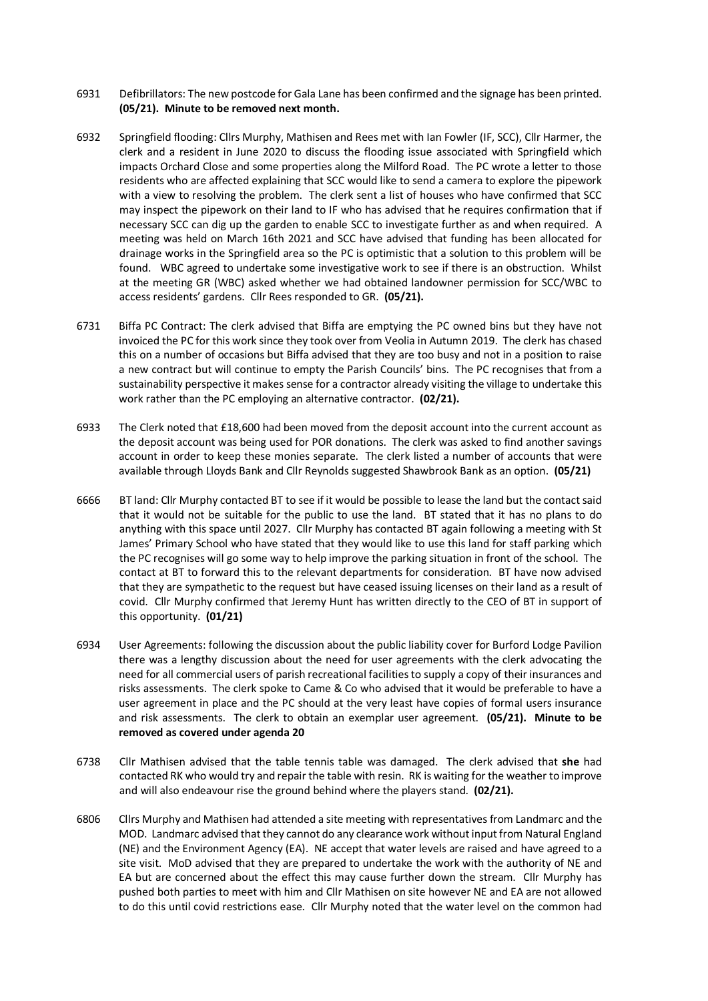- 6931 Defibrillators: The new postcode for Gala Lane has been confirmed and the signage has been printed. **(05/21). Minute to be removed next month.**
- 6932 Springfield flooding: Cllrs Murphy, Mathisen and Rees met with Ian Fowler (IF, SCC), Cllr Harmer, the clerk and a resident in June 2020 to discuss the flooding issue associated with Springfield which impacts Orchard Close and some properties along the Milford Road. The PC wrote a letter to those residents who are affected explaining that SCC would like to send a camera to explore the pipework with a view to resolving the problem. The clerk sent a list of houses who have confirmed that SCC may inspect the pipework on their land to IF who has advised that he requires confirmation that if necessary SCC can dig up the garden to enable SCC to investigate further as and when required. A meeting was held on March 16th 2021 and SCC have advised that funding has been allocated for drainage works in the Springfield area so the PC is optimistic that a solution to this problem will be found. WBC agreed to undertake some investigative work to see if there is an obstruction. Whilst at the meeting GR (WBC) asked whether we had obtained landowner permission for SCC/WBC to access residents' gardens. Cllr Rees responded to GR. **(05/21).**
- 6731 Biffa PC Contract: The clerk advised that Biffa are emptying the PC owned bins but they have not invoiced the PC for this work since they took over from Veolia in Autumn 2019. The clerk has chased this on a number of occasions but Biffa advised that they are too busy and not in a position to raise a new contract but will continue to empty the Parish Councils' bins. The PC recognises that from a sustainability perspective it makes sense for a contractor already visiting the village to undertake this work rather than the PC employing an alternative contractor. **(02/21).**
- 6933 The Clerk noted that £18,600 had been moved from the deposit account into the current account as the deposit account was being used for POR donations. The clerk was asked to find another savings account in order to keep these monies separate. The clerk listed a number of accounts that were available through Lloyds Bank and Cllr Reynolds suggested Shawbrook Bank as an option. **(05/21)**
- 6666 BT land: Cllr Murphy contacted BT to see if it would be possible to lease the land but the contact said that it would not be suitable for the public to use the land. BT stated that it has no plans to do anything with this space until 2027. Cllr Murphy has contacted BT again following a meeting with St James' Primary School who have stated that they would like to use this land for staff parking which the PC recognises will go some way to help improve the parking situation in front of the school. The contact at BT to forward this to the relevant departments for consideration. BT have now advised that they are sympathetic to the request but have ceased issuing licenses on their land as a result of covid. Cllr Murphy confirmed that Jeremy Hunt has written directly to the CEO of BT in support of this opportunity. **(01/21)**
- 6934 User Agreements: following the discussion about the public liability cover for Burford Lodge Pavilion there was a lengthy discussion about the need for user agreements with the clerk advocating the need for all commercial users of parish recreational facilities to supply a copy of their insurances and risks assessments. The clerk spoke to Came & Co who advised that it would be preferable to have a user agreement in place and the PC should at the very least have copies of formal users insurance and risk assessments. The clerk to obtain an exemplar user agreement. **(05/21). Minute to be removed as covered under agenda 20**
- 6738 Cllr Mathisen advised that the table tennis table was damaged. The clerk advised that **she** had contacted RK who would try and repair the table with resin. RK is waiting for the weather to improve and will also endeavour rise the ground behind where the players stand. **(02/21).**
- 6806 Cllrs Murphy and Mathisen had attended a site meeting with representatives from Landmarc and the MOD. Landmarc advised that they cannot do any clearance work without input from Natural England (NE) and the Environment Agency (EA). NE accept that water levels are raised and have agreed to a site visit. MoD advised that they are prepared to undertake the work with the authority of NE and EA but are concerned about the effect this may cause further down the stream. Cllr Murphy has pushed both parties to meet with him and Cllr Mathisen on site however NE and EA are not allowed to do this until covid restrictions ease. Cllr Murphy noted that the water level on the common had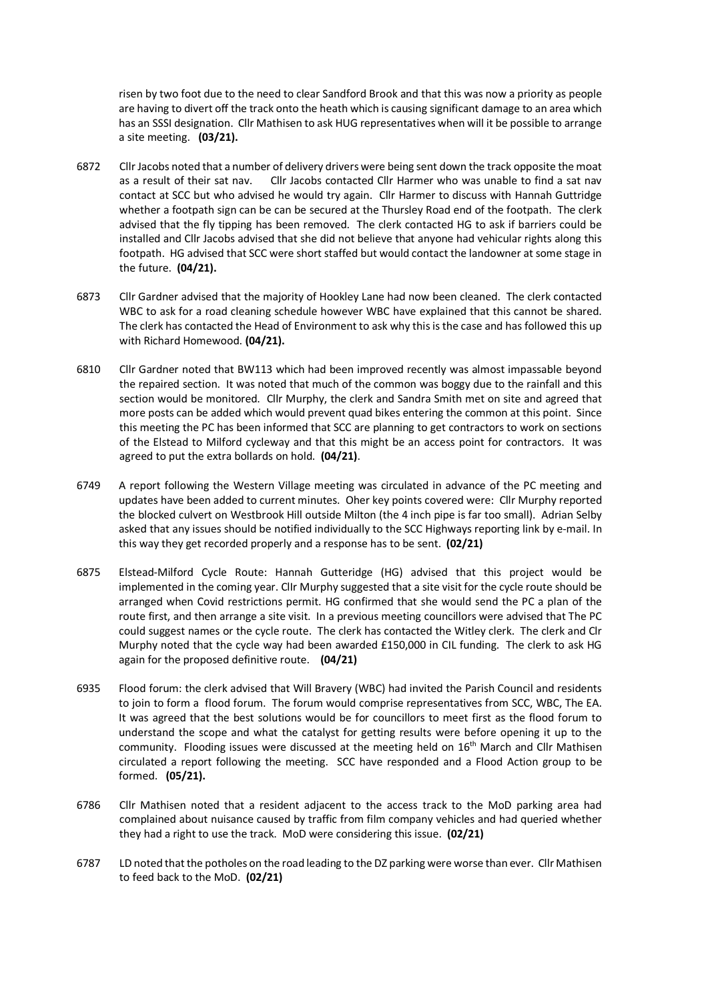risen by two foot due to the need to clear Sandford Brook and that this was now a priority as people are having to divert off the track onto the heath which is causing significant damage to an area which has an SSSI designation. Cllr Mathisen to ask HUG representatives when will it be possible to arrange a site meeting. **(03/21).**

- 6872 Cllr Jacobs noted that a number of delivery drivers were being sent down the track opposite the moat as a result of their sat nav. Cllr Jacobs contacted Cllr Harmer who was unable to find a sat nav contact at SCC but who advised he would try again. Cllr Harmer to discuss with Hannah Guttridge whether a footpath sign can be can be secured at the Thursley Road end of the footpath. The clerk advised that the fly tipping has been removed. The clerk contacted HG to ask if barriers could be installed and Cllr Jacobs advised that she did not believe that anyone had vehicular rights along this footpath. HG advised that SCC were short staffed but would contact the landowner at some stage in the future. **(04/21).**
- 6873 Cllr Gardner advised that the majority of Hookley Lane had now been cleaned. The clerk contacted WBC to ask for a road cleaning schedule however WBC have explained that this cannot be shared. The clerk has contacted the Head of Environment to ask why this is the case and has followed this up with Richard Homewood. **(04/21).**
- 6810 Cllr Gardner noted that BW113 which had been improved recently was almost impassable beyond the repaired section. It was noted that much of the common was boggy due to the rainfall and this section would be monitored. Cllr Murphy, the clerk and Sandra Smith met on site and agreed that more posts can be added which would prevent quad bikes entering the common at this point. Since this meeting the PC has been informed that SCC are planning to get contractors to work on sections of the Elstead to Milford cycleway and that this might be an access point for contractors. It was agreed to put the extra bollards on hold. **(04/21)**.
- 6749 A report following the Western Village meeting was circulated in advance of the PC meeting and updates have been added to current minutes. Oher key points covered were: Cllr Murphy reported the blocked culvert on Westbrook Hill outside Milton (the 4 inch pipe is far too small). Adrian Selby asked that any issues should be notified individually to the SCC Highways reporting link by e-mail. In this way they get recorded properly and a response has to be sent. **(02/21)**
- 6875 Elstead-Milford Cycle Route: Hannah Gutteridge (HG) advised that this project would be implemented in the coming year. ClIr Murphy suggested that a site visit for the cycle route should be arranged when Covid restrictions permit. HG confirmed that she would send the PC a plan of the route first, and then arrange a site visit. In a previous meeting councillors were advised that The PC could suggest names or the cycle route. The clerk has contacted the Witley clerk. The clerk and Clr Murphy noted that the cycle way had been awarded £150,000 in CIL funding. The clerk to ask HG again for the proposed definitive route. **(04/21)**
- 6935 Flood forum: the clerk advised that Will Bravery (WBC) had invited the Parish Council and residents to join to form a flood forum. The forum would comprise representatives from SCC, WBC, The EA. It was agreed that the best solutions would be for councillors to meet first as the flood forum to understand the scope and what the catalyst for getting results were before opening it up to the community. Flooding issues were discussed at the meeting held on  $16<sup>th</sup>$  March and Cllr Mathisen circulated a report following the meeting. SCC have responded and a Flood Action group to be formed. **(05/21).**
- 6786 Cllr Mathisen noted that a resident adjacent to the access track to the MoD parking area had complained about nuisance caused by traffic from film company vehicles and had queried whether they had a right to use the track. MoD were considering this issue. **(02/21)**
- 6787 LD noted that the potholes on the road leading to the DZ parking were worse than ever. Cllr Mathisen to feed back to the MoD. **(02/21)**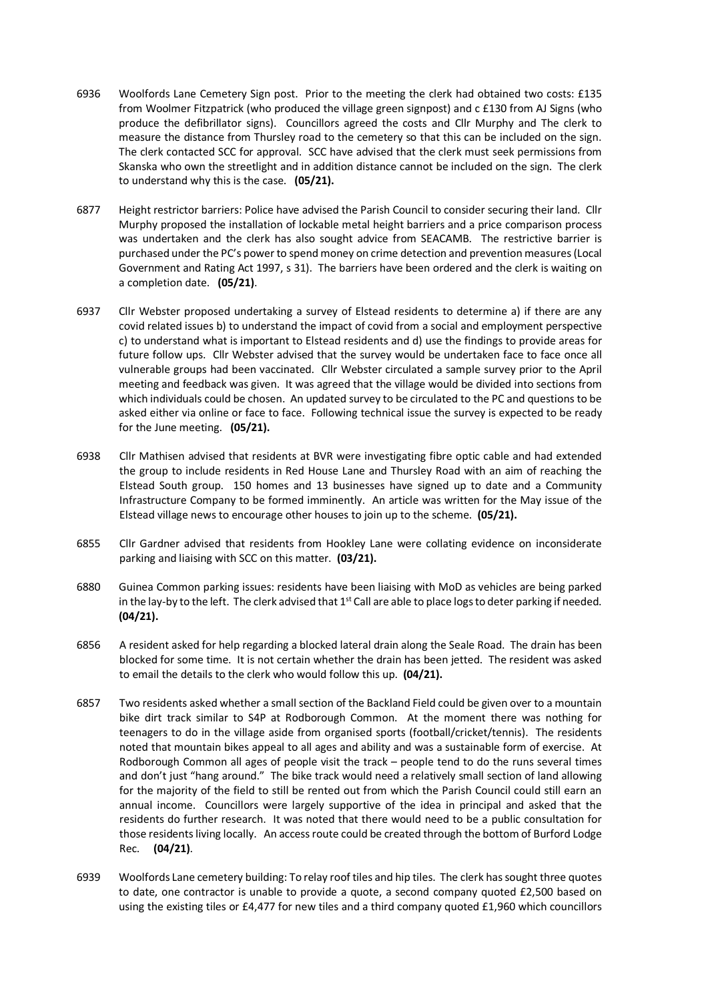- 6936 Woolfords Lane Cemetery Sign post. Prior to the meeting the clerk had obtained two costs: £135 from Woolmer Fitzpatrick (who produced the village green signpost) and c £130 from AJ Signs (who produce the defibrillator signs). Councillors agreed the costs and Cllr Murphy and The clerk to measure the distance from Thursley road to the cemetery so that this can be included on the sign. The clerk contacted SCC for approval. SCC have advised that the clerk must seek permissions from Skanska who own the streetlight and in addition distance cannot be included on the sign. The clerk to understand why this is the case. **(05/21).**
- 6877 Height restrictor barriers: Police have advised the Parish Council to consider securing their land. Cllr Murphy proposed the installation of lockable metal height barriers and a price comparison process was undertaken and the clerk has also sought advice from SEACAMB. The restrictive barrier is purchased under the PC's power to spend money on crime detection and prevention measures (Local Government and Rating Act 1997, s 31). The barriers have been ordered and the clerk is waiting on a completion date. **(05/21)**.
- 6937 Cllr Webster proposed undertaking a survey of Elstead residents to determine a) if there are any covid related issues b) to understand the impact of covid from a social and employment perspective c) to understand what is important to Elstead residents and d) use the findings to provide areas for future follow ups. Cllr Webster advised that the survey would be undertaken face to face once all vulnerable groups had been vaccinated. Cllr Webster circulated a sample survey prior to the April meeting and feedback was given. It was agreed that the village would be divided into sections from which individuals could be chosen. An updated survey to be circulated to the PC and questions to be asked either via online or face to face. Following technical issue the survey is expected to be ready for the June meeting. **(05/21).**
- 6938 Cllr Mathisen advised that residents at BVR were investigating fibre optic cable and had extended the group to include residents in Red House Lane and Thursley Road with an aim of reaching the Elstead South group. 150 homes and 13 businesses have signed up to date and a Community Infrastructure Company to be formed imminently. An article was written for the May issue of the Elstead village news to encourage other houses to join up to the scheme. **(05/21).**
- 6855 Cllr Gardner advised that residents from Hookley Lane were collating evidence on inconsiderate parking and liaising with SCC on this matter. **(03/21).**
- 6880 Guinea Common parking issues: residents have been liaising with MoD as vehicles are being parked in the lay-by to the left. The clerk advised that  $1<sup>st</sup>$  Call are able to place logs to deter parking if needed. **(04/21).**
- 6856 A resident asked for help regarding a blocked lateral drain along the Seale Road. The drain has been blocked for some time. It is not certain whether the drain has been jetted. The resident was asked to email the details to the clerk who would follow this up. **(04/21).**
- 6857 Two residents asked whether a small section of the Backland Field could be given over to a mountain bike dirt track similar to S4P at Rodborough Common. At the moment there was nothing for teenagers to do in the village aside from organised sports (football/cricket/tennis). The residents noted that mountain bikes appeal to all ages and ability and was a sustainable form of exercise. At Rodborough Common all ages of people visit the track – people tend to do the runs several times and don't just "hang around." The bike track would need a relatively small section of land allowing for the majority of the field to still be rented out from which the Parish Council could still earn an annual income. Councillors were largely supportive of the idea in principal and asked that the residents do further research. It was noted that there would need to be a public consultation for those residents living locally. An access route could be created through the bottom of Burford Lodge Rec. **(04/21)**.
- 6939 Woolfords Lane cemetery building: To relay roof tiles and hip tiles. The clerk has sought three quotes to date, one contractor is unable to provide a quote, a second company quoted £2,500 based on using the existing tiles or £4,477 for new tiles and a third company quoted £1,960 which councillors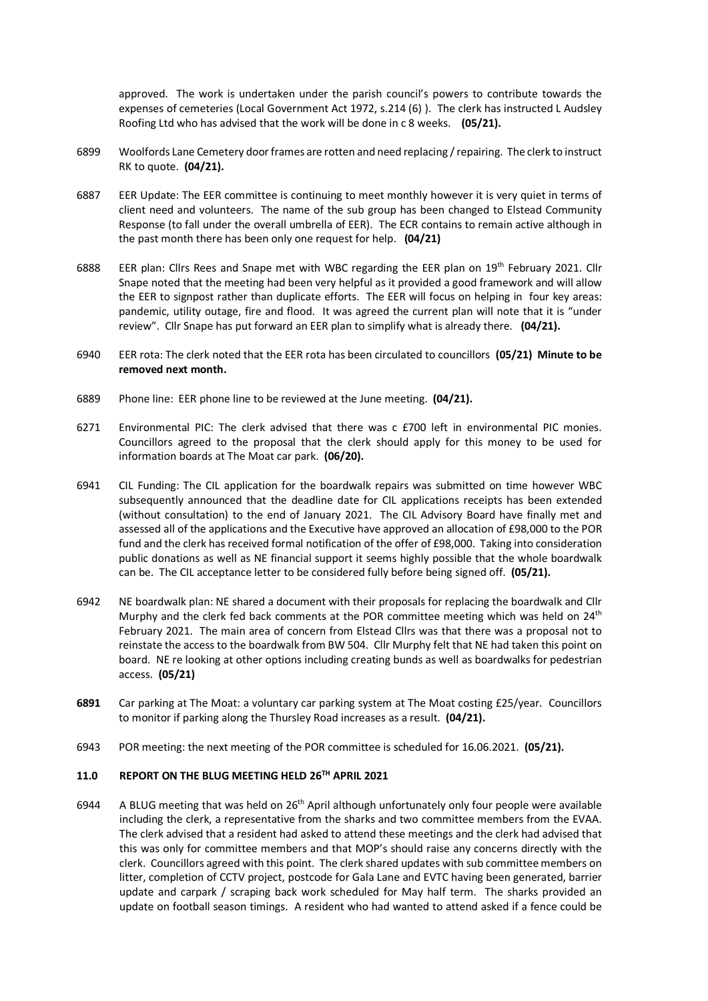approved. The work is undertaken under the parish council's powers to contribute towards the expenses of cemeteries (Local Government Act 1972, s.214 (6) ). The clerk has instructed L Audsley Roofing Ltd who has advised that the work will be done in c 8 weeks. **(05/21).**

- 6899 Woolfords Lane Cemetery door frames are rotten and need replacing / repairing. The clerk to instruct RK to quote. **(04/21).**
- 6887 EER Update: The EER committee is continuing to meet monthly however it is very quiet in terms of client need and volunteers. The name of the sub group has been changed to Elstead Community Response (to fall under the overall umbrella of EER). The ECR contains to remain active although in the past month there has been only one request for help. **(04/21)**
- 6888 EER plan: Cllrs Rees and Snape met with WBC regarding the EER plan on 19<sup>th</sup> February 2021. Cllr Snape noted that the meeting had been very helpful as it provided a good framework and will allow the EER to signpost rather than duplicate efforts. The EER will focus on helping in four key areas: pandemic, utility outage, fire and flood. It was agreed the current plan will note that it is "under review". Cllr Snape has put forward an EER plan to simplify what is already there. **(04/21).**
- 6940 EER rota: The clerk noted that the EER rota has been circulated to councillors **(05/21) Minute to be removed next month.**
- 6889 Phone line: EER phone line to be reviewed at the June meeting. **(04/21).**
- 6271 Environmental PIC: The clerk advised that there was c £700 left in environmental PIC monies. Councillors agreed to the proposal that the clerk should apply for this money to be used for information boards at The Moat car park. **(06/20).**
- 6941 CIL Funding: The CIL application for the boardwalk repairs was submitted on time however WBC subsequently announced that the deadline date for CIL applications receipts has been extended (without consultation) to the end of January 2021. The CIL Advisory Board have finally met and assessed all of the applications and the Executive have approved an allocation of £98,000 to the POR fund and the clerk has received formal notification of the offer of £98,000. Taking into consideration public donations as well as NE financial support it seems highly possible that the whole boardwalk can be. The CIL acceptance letter to be considered fully before being signed off. **(05/21).**
- 6942 NE boardwalk plan: NE shared a document with their proposals for replacing the boardwalk and Cllr Murphy and the clerk fed back comments at the POR committee meeting which was held on 24<sup>th</sup> February 2021. The main area of concern from Elstead Cllrs was that there was a proposal not to reinstate the access to the boardwalk from BW 504. Cllr Murphy felt that NE had taken this point on board. NE re looking at other options including creating bunds as well as boardwalks for pedestrian access. **(05/21)**
- **6891** Car parking at The Moat: a voluntary car parking system at The Moat costing £25/year. Councillors to monitor if parking along the Thursley Road increases as a result. **(04/21).**
- 6943 POR meeting: the next meeting of the POR committee is scheduled for 16.06.2021. **(05/21).**

## **11.0 REPORT ON THE BLUG MEETING HELD 26TH APRIL 2021**

6944 A BLUG meeting that was held on  $26<sup>th</sup>$  April although unfortunately only four people were available including the clerk, a representative from the sharks and two committee members from the EVAA. The clerk advised that a resident had asked to attend these meetings and the clerk had advised that this was only for committee members and that MOP's should raise any concerns directly with the clerk. Councillors agreed with this point. The clerk shared updates with sub committee members on litter, completion of CCTV project, postcode for Gala Lane and EVTC having been generated, barrier update and carpark / scraping back work scheduled for May half term. The sharks provided an update on football season timings. A resident who had wanted to attend asked if a fence could be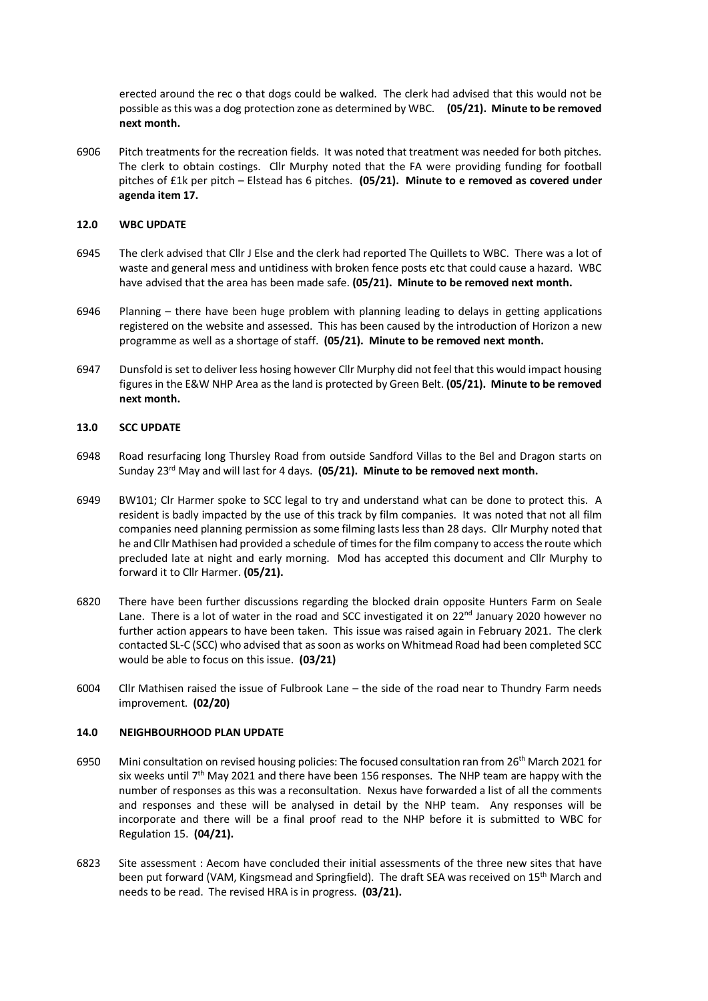erected around the rec o that dogs could be walked. The clerk had advised that this would not be possible as this was a dog protection zone as determined by WBC. **(05/21). Minute to be removed next month.**

6906 Pitch treatments for the recreation fields. It was noted that treatment was needed for both pitches. The clerk to obtain costings. Cllr Murphy noted that the FA were providing funding for football pitches of £1k per pitch – Elstead has 6 pitches. **(05/21). Minute to e removed as covered under agenda item 17.**

#### **12.0 WBC UPDATE**

- 6945 The clerk advised that Cllr J Else and the clerk had reported The Quillets to WBC. There was a lot of waste and general mess and untidiness with broken fence posts etc that could cause a hazard. WBC have advised that the area has been made safe. **(05/21). Minute to be removed next month.**
- 6946 Planning there have been huge problem with planning leading to delays in getting applications registered on the website and assessed. This has been caused by the introduction of Horizon a new programme as well as a shortage of staff. **(05/21). Minute to be removed next month.**
- 6947 Dunsfold is set to deliver less hosing however Cllr Murphy did not feel that this would impact housing figures in the E&W NHP Area as the land is protected by Green Belt. **(05/21). Minute to be removed next month.**

#### **13.0 SCC UPDATE**

- 6948 Road resurfacing long Thursley Road from outside Sandford Villas to the Bel and Dragon starts on Sunday 23rd May and will last for 4 days. **(05/21). Minute to be removed next month.**
- 6949 BW101; Clr Harmer spoke to SCC legal to try and understand what can be done to protect this. A resident is badly impacted by the use of this track by film companies. It was noted that not all film companies need planning permission as some filming lasts less than 28 days. Cllr Murphy noted that he and Cllr Mathisen had provided a schedule of times for the film company to access the route which precluded late at night and early morning. Mod has accepted this document and Cllr Murphy to forward it to Cllr Harmer. **(05/21).**
- 6820 There have been further discussions regarding the blocked drain opposite Hunters Farm on Seale Lane. There is a lot of water in the road and SCC investigated it on  $22^{nd}$  January 2020 however no further action appears to have been taken. This issue was raised again in February 2021. The clerk contacted SL-C (SCC) who advised that as soon as works on Whitmead Road had been completed SCC would be able to focus on this issue. **(03/21)**
- 6004 Cllr Mathisen raised the issue of Fulbrook Lane the side of the road near to Thundry Farm needs improvement. **(02/20)**

#### **14.0 NEIGHBOURHOOD PLAN UPDATE**

- 6950 Mini consultation on revised housing policies: The focused consultation ran from 26th March 2021 for six weeks until  $7<sup>th</sup>$  May 2021 and there have been 156 responses. The NHP team are happy with the number of responses as this was a reconsultation. Nexus have forwarded a list of all the comments and responses and these will be analysed in detail by the NHP team. Any responses will be incorporate and there will be a final proof read to the NHP before it is submitted to WBC for Regulation 15. **(04/21).**
- 6823 Site assessment : Aecom have concluded their initial assessments of the three new sites that have been put forward (VAM, Kingsmead and Springfield). The draft SEA was received on 15<sup>th</sup> March and needs to be read. The revised HRA is in progress. **(03/21).**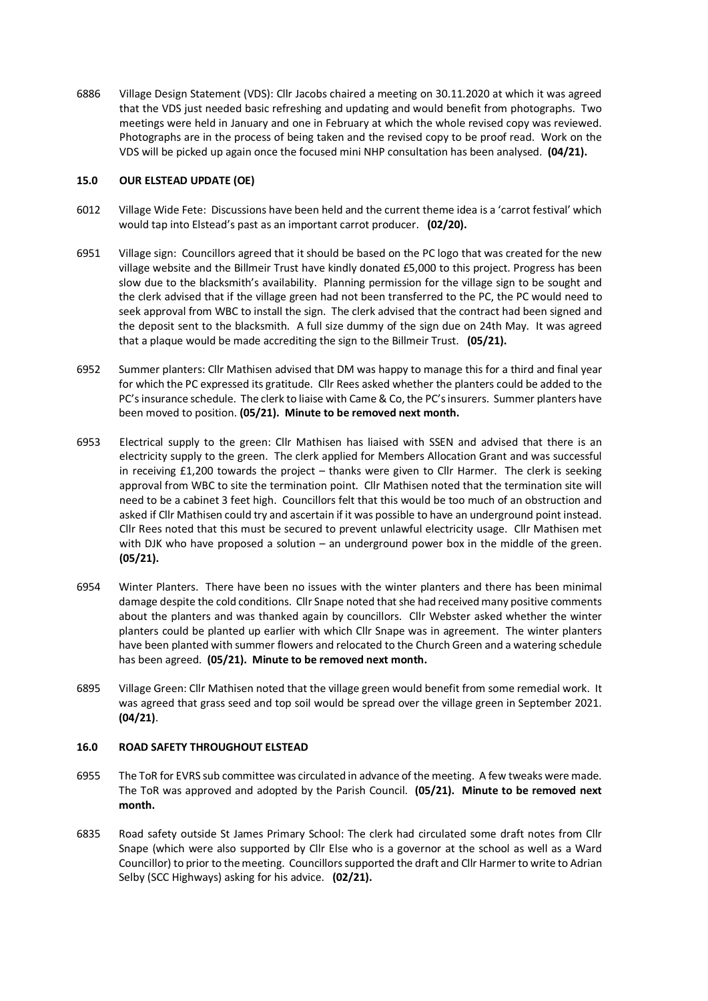6886 Village Design Statement (VDS): Cllr Jacobs chaired a meeting on 30.11.2020 at which it was agreed that the VDS just needed basic refreshing and updating and would benefit from photographs. Two meetings were held in January and one in February at which the whole revised copy was reviewed. Photographs are in the process of being taken and the revised copy to be proof read. Work on the VDS will be picked up again once the focused mini NHP consultation has been analysed. **(04/21).**

### **15.0 OUR ELSTEAD UPDATE (OE)**

- 6012 Village Wide Fete: Discussions have been held and the current theme idea is a 'carrot festival' which would tap into Elstead's past as an important carrot producer. **(02/20).**
- 6951 Village sign: Councillors agreed that it should be based on the PC logo that was created for the new village website and the Billmeir Trust have kindly donated £5,000 to this project. Progress has been slow due to the blacksmith's availability. Planning permission for the village sign to be sought and the clerk advised that if the village green had not been transferred to the PC, the PC would need to seek approval from WBC to install the sign. The clerk advised that the contract had been signed and the deposit sent to the blacksmith. A full size dummy of the sign due on 24th May. It was agreed that a plaque would be made accrediting the sign to the Billmeir Trust. **(05/21).**
- 6952 Summer planters: Cllr Mathisen advised that DM was happy to manage this for a third and final year for which the PC expressed its gratitude. Cllr Rees asked whether the planters could be added to the PC's insurance schedule. The clerk to liaise with Came & Co, the PC's insurers. Summer planters have been moved to position. **(05/21). Minute to be removed next month.**
- 6953 Electrical supply to the green: Cllr Mathisen has liaised with SSEN and advised that there is an electricity supply to the green. The clerk applied for Members Allocation Grant and was successful in receiving £1,200 towards the project – thanks were given to Cllr Harmer. The clerk is seeking approval from WBC to site the termination point. Cllr Mathisen noted that the termination site will need to be a cabinet 3 feet high. Councillors felt that this would be too much of an obstruction and asked if Cllr Mathisen could try and ascertain if it was possible to have an underground point instead. Cllr Rees noted that this must be secured to prevent unlawful electricity usage. Cllr Mathisen met with DJK who have proposed a solution – an underground power box in the middle of the green. **(05/21).**
- 6954 Winter Planters. There have been no issues with the winter planters and there has been minimal damage despite the cold conditions. Cllr Snape noted that she had received many positive comments about the planters and was thanked again by councillors. Cllr Webster asked whether the winter planters could be planted up earlier with which Cllr Snape was in agreement. The winter planters have been planted with summer flowers and relocated to the Church Green and a watering schedule has been agreed. **(05/21). Minute to be removed next month.**
- 6895 Village Green: Cllr Mathisen noted that the village green would benefit from some remedial work. It was agreed that grass seed and top soil would be spread over the village green in September 2021. **(04/21)**.

## **16.0 ROAD SAFETY THROUGHOUT ELSTEAD**

- 6955 The ToR for EVRS sub committee was circulated in advance of the meeting. A few tweaks were made. The ToR was approved and adopted by the Parish Council. **(05/21). Minute to be removed next month.**
- 6835 Road safety outside St James Primary School: The clerk had circulated some draft notes from Cllr Snape (which were also supported by Cllr Else who is a governor at the school as well as a Ward Councillor) to prior to the meeting. Councillors supported the draft and Cllr Harmer to write to Adrian Selby (SCC Highways) asking for his advice. **(02/21).**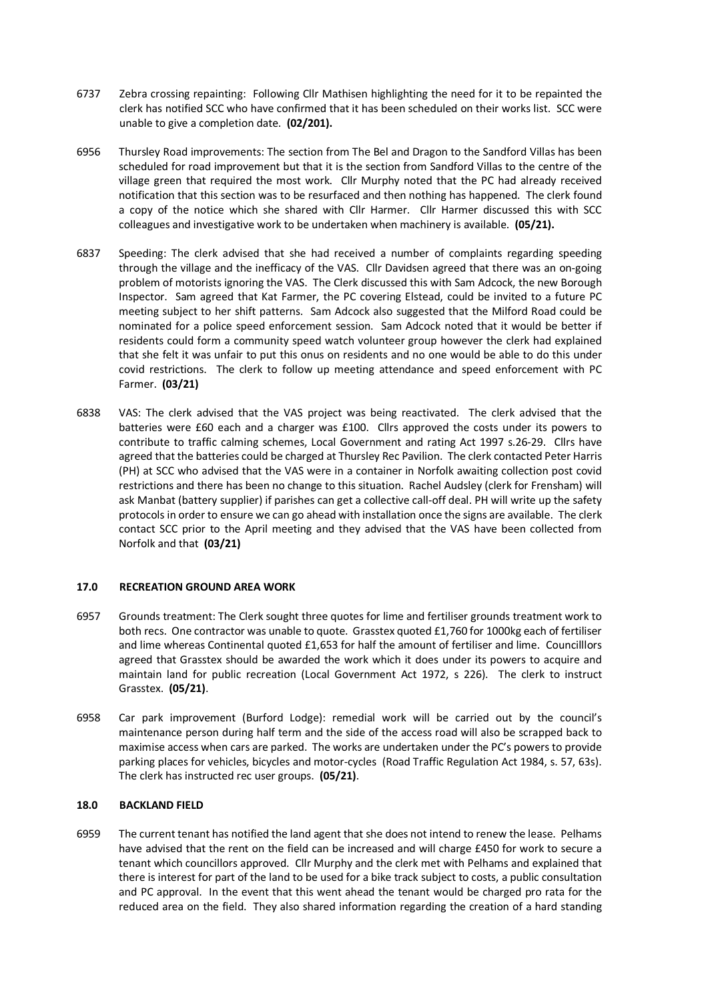- 6737 Zebra crossing repainting: Following Cllr Mathisen highlighting the need for it to be repainted the clerk has notified SCC who have confirmed that it has been scheduled on their works list. SCC were unable to give a completion date. **(02/201).**
- 6956 Thursley Road improvements: The section from The Bel and Dragon to the Sandford Villas has been scheduled for road improvement but that it is the section from Sandford Villas to the centre of the village green that required the most work. Cllr Murphy noted that the PC had already received notification that this section was to be resurfaced and then nothing has happened. The clerk found a copy of the notice which she shared with Cllr Harmer. Cllr Harmer discussed this with SCC colleagues and investigative work to be undertaken when machinery is available. **(05/21).**
- 6837 Speeding: The clerk advised that she had received a number of complaints regarding speeding through the village and the inefficacy of the VAS. Cllr Davidsen agreed that there was an on-going problem of motorists ignoring the VAS. The Clerk discussed this with Sam Adcock, the new Borough Inspector. Sam agreed that Kat Farmer, the PC covering Elstead, could be invited to a future PC meeting subject to her shift patterns. Sam Adcock also suggested that the Milford Road could be nominated for a police speed enforcement session. Sam Adcock noted that it would be better if residents could form a community speed watch volunteer group however the clerk had explained that she felt it was unfair to put this onus on residents and no one would be able to do this under covid restrictions. The clerk to follow up meeting attendance and speed enforcement with PC Farmer. **(03/21)**
- 6838 VAS: The clerk advised that the VAS project was being reactivated. The clerk advised that the batteries were £60 each and a charger was £100. Cllrs approved the costs under its powers to contribute to traffic calming schemes, Local Government and rating Act 1997 s.26-29. Cllrs have agreed that the batteries could be charged at Thursley Rec Pavilion. The clerk contacted Peter Harris (PH) at SCC who advised that the VAS were in a container in Norfolk awaiting collection post covid restrictions and there has been no change to this situation. Rachel Audsley (clerk for Frensham) will ask Manbat (battery supplier) if parishes can get a collective call-off deal. PH will write up the safety protocols in order to ensure we can go ahead with installation once the signs are available. The clerk contact SCC prior to the April meeting and they advised that the VAS have been collected from Norfolk and that **(03/21)**

## **17.0 RECREATION GROUND AREA WORK**

- 6957 Grounds treatment: The Clerk sought three quotes for lime and fertiliser grounds treatment work to both recs. One contractor was unable to quote. Grasstex quoted £1,760 for 1000kg each of fertiliser and lime whereas Continental quoted £1,653 for half the amount of fertiliser and lime. Councilllors agreed that Grasstex should be awarded the work which it does under its powers to acquire and maintain land for public recreation (Local Government Act 1972, s 226). The clerk to instruct Grasstex. **(05/21)**.
- 6958 Car park improvement (Burford Lodge): remedial work will be carried out by the council's maintenance person during half term and the side of the access road will also be scrapped back to maximise access when cars are parked. The works are undertaken under the PC's powers to provide parking places for vehicles, bicycles and motor-cycles (Road Traffic Regulation Act 1984, s. 57, 63s). The clerk has instructed rec user groups. **(05/21)**.

## **18.0 BACKLAND FIELD**

6959 The current tenant has notified the land agent that she does not intend to renew the lease. Pelhams have advised that the rent on the field can be increased and will charge £450 for work to secure a tenant which councillors approved. Cllr Murphy and the clerk met with Pelhams and explained that there is interest for part of the land to be used for a bike track subject to costs, a public consultation and PC approval. In the event that this went ahead the tenant would be charged pro rata for the reduced area on the field. They also shared information regarding the creation of a hard standing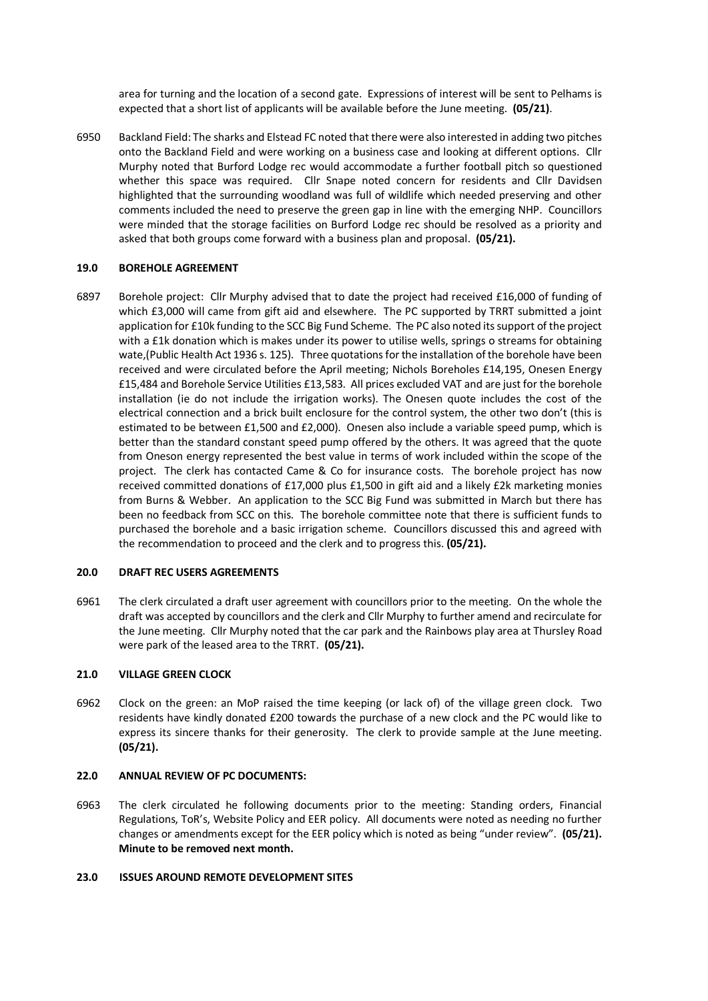area for turning and the location of a second gate. Expressions of interest will be sent to Pelhams is expected that a short list of applicants will be available before the June meeting. **(05/21)**.

6950 Backland Field: The sharks and Elstead FC noted that there were also interested in adding two pitches onto the Backland Field and were working on a business case and looking at different options. Cllr Murphy noted that Burford Lodge rec would accommodate a further football pitch so questioned whether this space was required. Cllr Snape noted concern for residents and Cllr Davidsen highlighted that the surrounding woodland was full of wildlife which needed preserving and other comments included the need to preserve the green gap in line with the emerging NHP. Councillors were minded that the storage facilities on Burford Lodge rec should be resolved as a priority and asked that both groups come forward with a business plan and proposal. **(05/21).**

#### **19.0 BOREHOLE AGREEMENT**

6897 Borehole project: Cllr Murphy advised that to date the project had received £16,000 of funding of which £3,000 will came from gift aid and elsewhere. The PC supported by TRRT submitted a joint application for £10k funding to the SCC Big Fund Scheme. The PC also noted its support of the project with a £1k donation which is makes under its power to utilise wells, springs o streams for obtaining wate,(Public Health Act 1936 s. 125). Three quotations for the installation of the borehole have been received and were circulated before the April meeting; Nichols Boreholes £14,195, Onesen Energy £15,484 and Borehole Service Utilities £13,583. All prices excluded VAT and are just for the borehole installation (ie do not include the irrigation works). The Onesen quote includes the cost of the electrical connection and a brick built enclosure for the control system, the other two don't (this is estimated to be between £1,500 and £2,000). Onesen also include a variable speed pump, which is better than the standard constant speed pump offered by the others. It was agreed that the quote from Oneson energy represented the best value in terms of work included within the scope of the project. The clerk has contacted Came & Co for insurance costs. The borehole project has now received committed donations of £17,000 plus £1,500 in gift aid and a likely £2k marketing monies from Burns & Webber. An application to the SCC Big Fund was submitted in March but there has been no feedback from SCC on this. The borehole committee note that there is sufficient funds to purchased the borehole and a basic irrigation scheme. Councillors discussed this and agreed with the recommendation to proceed and the clerk and to progress this. **(05/21).**

#### **20.0 DRAFT REC USERS AGREEMENTS**

6961 The clerk circulated a draft user agreement with councillors prior to the meeting. On the whole the draft was accepted by councillors and the clerk and Cllr Murphy to further amend and recirculate for the June meeting. Cllr Murphy noted that the car park and the Rainbows play area at Thursley Road were park of the leased area to the TRRT. **(05/21).** 

#### **21.0 VILLAGE GREEN CLOCK**

6962 Clock on the green: an MoP raised the time keeping (or lack of) of the village green clock. Two residents have kindly donated £200 towards the purchase of a new clock and the PC would like to express its sincere thanks for their generosity. The clerk to provide sample at the June meeting. **(05/21).**

#### **22.0 ANNUAL REVIEW OF PC DOCUMENTS:**

6963 The clerk circulated he following documents prior to the meeting: Standing orders, Financial Regulations, ToR's, Website Policy and EER policy. All documents were noted as needing no further changes or amendments except for the EER policy which is noted as being "under review". **(05/21). Minute to be removed next month.** 

#### **23.0 ISSUES AROUND REMOTE DEVELOPMENT SITES**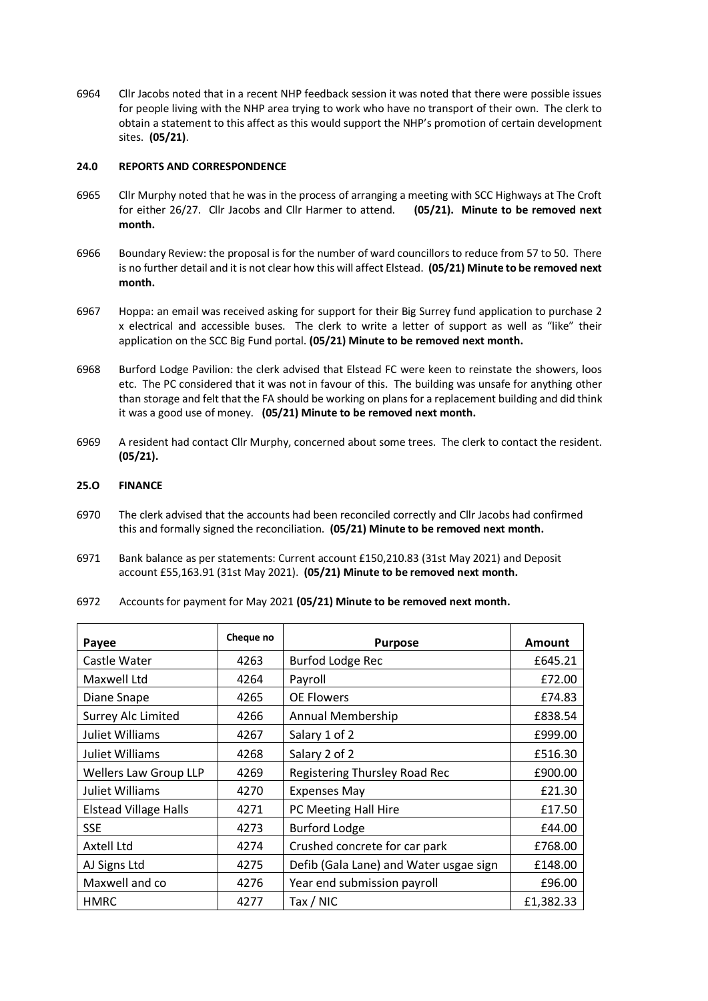6964 Cllr Jacobs noted that in a recent NHP feedback session it was noted that there were possible issues for people living with the NHP area trying to work who have no transport of their own. The clerk to obtain a statement to this affect as this would support the NHP's promotion of certain development sites. **(05/21)**.

#### **24.0 REPORTS AND CORRESPONDENCE**

- 6965 Cllr Murphy noted that he was in the process of arranging a meeting with SCC Highways at The Croft for either 26/27. Cllr Jacobs and Cllr Harmer to attend. **(05/21). Minute to be removed next month.**
- 6966 Boundary Review: the proposal is for the number of ward councillors to reduce from 57 to 50. There is no further detail and it is not clear how this will affect Elstead. **(05/21) Minute to be removed next month.**
- 6967 Hoppa: an email was received asking for support for their Big Surrey fund application to purchase 2 x electrical and accessible buses. The clerk to write a letter of support as well as "like" their application on the SCC Big Fund portal. **(05/21) Minute to be removed next month.**
- 6968 Burford Lodge Pavilion: the clerk advised that Elstead FC were keen to reinstate the showers, loos etc. The PC considered that it was not in favour of this. The building was unsafe for anything other than storage and felt that the FA should be working on plans for a replacement building and did think it was a good use of money. **(05/21) Minute to be removed next month.**
- 6969 A resident had contact Cllr Murphy, concerned about some trees. The clerk to contact the resident. **(05/21).**

#### **25.O FINANCE**

- 6970 The clerk advised that the accounts had been reconciled correctly and Cllr Jacobs had confirmed this and formally signed the reconciliation. **(05/21) Minute to be removed next month.**
- 6971 Bank balance as per statements: Current account £150,210.83 (31st May 2021) and Deposit account £55,163.91 (31st May 2021). **(05/21) Minute to be removed next month.**
- 6972 Accounts for payment for May 2021 **(05/21) Minute to be removed next month.**

| Payee                        | Cheque no | <b>Purpose</b>                         | <b>Amount</b> |
|------------------------------|-----------|----------------------------------------|---------------|
| Castle Water                 | 4263      | Burfod Lodge Rec                       | £645.21       |
| Maxwell Ltd                  | 4264      | Payroll                                | £72.00        |
| Diane Snape                  | 4265      | <b>OE Flowers</b>                      | £74.83        |
| <b>Surrey Alc Limited</b>    | 4266      | Annual Membership                      | £838.54       |
| <b>Juliet Williams</b>       | 4267      | Salary 1 of 2                          | £999.00       |
| Juliet Williams              | 4268      | Salary 2 of 2                          | £516.30       |
| <b>Wellers Law Group LLP</b> | 4269      | Registering Thursley Road Rec          | £900.00       |
| Juliet Williams              | 4270      | <b>Expenses May</b>                    | £21.30        |
| <b>Elstead Village Halls</b> | 4271      | PC Meeting Hall Hire                   | £17.50        |
| <b>SSE</b>                   | 4273      | <b>Burford Lodge</b>                   | £44.00        |
| Axtell Ltd                   | 4274      | Crushed concrete for car park          | £768.00       |
| AJ Signs Ltd                 | 4275      | Defib (Gala Lane) and Water usgae sign | £148.00       |
| Maxwell and co               | 4276      | Year end submission payroll            | £96.00        |
| <b>HMRC</b>                  | 4277      | Tax / NIC                              | £1,382.33     |